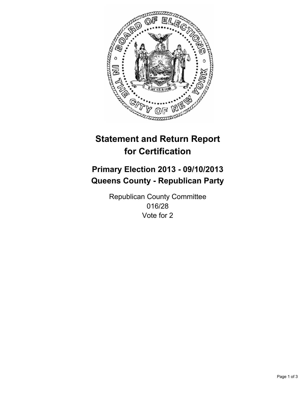

# **Statement and Return Report for Certification**

# **Primary Election 2013 - 09/10/2013 Queens County - Republican Party**

Republican County Committee 016/28 Vote for 2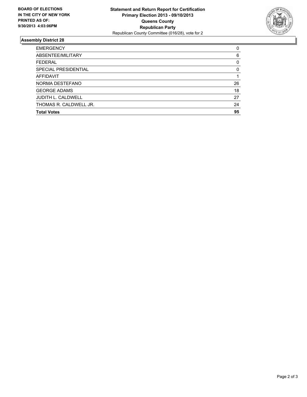

## **Assembly District 28**

| <b>EMERGENCY</b>            | $\Omega$ |
|-----------------------------|----------|
| ABSENTEE/MILITARY           | 6        |
| <b>FEDERAL</b>              | 0        |
| <b>SPECIAL PRESIDENTIAL</b> | 0        |
| <b>AFFIDAVIT</b>            |          |
| NORMA DESTEFANO             | 26       |
| <b>GEORGE ADAMS</b>         | 18       |
| <b>JUDITH L. CALDWELL</b>   | 27       |
| THOMAS R. CALDWELL JR.      | 24       |
| <b>Total Votes</b>          | 95       |
|                             |          |